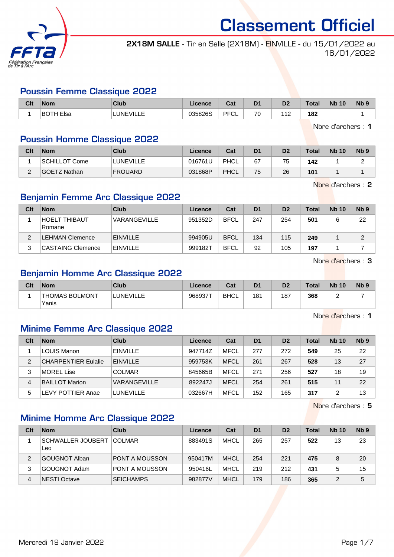

2X18M SALLE - Tir en Salle (2X18M) - EINVILLE - du 15/01/2022 au 16/01/2022

#### Poussin Femme Classique 2022

| Clt | <b>Nom</b>       | <b>Club</b>       | <b>Cence</b> | $R_{\rm eff}$<br>uα | D <sub>1</sub> | D <sub>2</sub>               | <b>Total</b> | <b>Nb</b><br>10 | N <sub>b</sub> <sub>9</sub> |
|-----|------------------|-------------------|--------------|---------------------|----------------|------------------------------|--------------|-----------------|-----------------------------|
|     | <b>BOTH Elsa</b> | LUNEVII '<br>---- | 035826S      | <b>DECI</b><br>◡∟   | 70             | $\overline{A}$<br>$\sqrt{2}$ | 182          |                 |                             |

Nbre d'archers : 1

#### Poussin Homme Classique 2022

| Clt | <b>Nom</b>    | Club             | Licence | Cat  | D <sub>1</sub> | D <sub>2</sub> | <b>Total</b> | <b>Nb 10</b> | N <sub>b</sub> <sub>9</sub> |
|-----|---------------|------------------|---------|------|----------------|----------------|--------------|--------------|-----------------------------|
|     | SCHILLOT Come | <b>LUNEVILLE</b> | 016761U | PHCL | 67             | 75             | 142          |              |                             |
| ◠   | GOETZ Nathan  | <b>FROUARD</b>   | 031868P | PHCL | 75             | 26             | 101          |              |                             |

Nbre d'archers : 2

#### Benjamin Femme Arc Classique 2022

| Clt | <b>Nom</b>               | Club            | Licence | Cat         | D <sub>1</sub> | D <sub>2</sub> | Total | <b>Nb 10</b> | Nb <sub>9</sub> |
|-----|--------------------------|-----------------|---------|-------------|----------------|----------------|-------|--------------|-----------------|
|     | 'HOELT THIBAUT<br>Romane | VARANGEVILLE    | 951352D | <b>BFCL</b> | 247            | 254            | 501   |              | 22              |
| C   | LEHMAN Clemence          | <b>EINVILLE</b> | 994905U | <b>BFCL</b> | 134            | 115            | 249   |              | c               |
| 3   | <b>CASTAING Clemence</b> | <b>EINVILLE</b> | 999182T | <b>BFCL</b> | 92             | 105            | 197   |              |                 |

Nbre d'archers : 3

#### Benjamin Homme Arc Classique 2022

| Clt | <b>Nom</b>               | Club      | Licence | Cat         | D <sub>1</sub> | D <sub>2</sub> | <b>Total</b> | <b>Nb 10</b> | <b>N<sub>b</sub></b> |
|-----|--------------------------|-----------|---------|-------------|----------------|----------------|--------------|--------------|----------------------|
|     | ⊺THOMAS BOLMONT<br>Yanis | LUNEVILLE | 968937T | <b>BHCL</b> | 181            | 187            | 368          |              |                      |

Nbre d'archers : 1

#### Minime Femme Arc Classique 2022

| Clt | <b>Nom</b>                 | Club             | Licence | Cat         | D <sub>1</sub> | D <sub>2</sub> | <b>Total</b> | <b>Nb 10</b> | N <sub>b</sub> <sub>9</sub> |
|-----|----------------------------|------------------|---------|-------------|----------------|----------------|--------------|--------------|-----------------------------|
|     | ⊧LOUIS Manon               | <b>EINVILLE</b>  | 947714Z | <b>MFCL</b> | 277            | 272            | 549          | 25           | 22                          |
| 2   | <b>CHARPENTIER Eulalie</b> | <b>EINVILLE</b>  | 959753K | <b>MFCL</b> | 261            | 267            | 528          | 13           | 27                          |
| 3   | MOREL Lise                 | <b>COLMAR</b>    | 845665B | <b>MFCL</b> | 271            | 256            | 527          | 18           | 19                          |
| 4   | <b>BAILLOT Marion</b>      | VARANGEVILLE     | 892247J | <b>MFCL</b> | 254            | 261            | 515          | 11           | 22                          |
| 5   | EVY POTTIER Anae           | <b>LUNEVILLE</b> | 032667H | <b>MFCL</b> | 152            | 165            | 317          |              | 13                          |

Nbre d'archers : 5

#### Minime Homme Arc Classique 2022

| Clt | <b>Nom</b>                      | Club                  | Licence | Cat         | D <sub>1</sub> | D <sub>2</sub> | Total | <b>Nb 10</b> | N <sub>b</sub> <sub>9</sub> |
|-----|---------------------------------|-----------------------|---------|-------------|----------------|----------------|-------|--------------|-----------------------------|
|     | <b>SCHWALLER JOUBERT</b><br>Leo | <b>COLMAR</b>         | 883491S | <b>MHCL</b> | 265            | 257            | 522   | 13           | 23                          |
| 2   | <b>GOUGNOT Alban</b>            | <b>PONT A MOUSSON</b> | 950417M | <b>MHCL</b> | 254            | 221            | 475   | 8            | 20                          |
| 3   | <b>GOUGNOT Adam</b>             | <b>PONT A MOUSSON</b> | 950416L | <b>MHCL</b> | 219            | 212            | 431   | 5            | 15                          |
| 4   | <b>NESTI Octave</b>             | <b>SEICHAMPS</b>      | 982877V | <b>MHCL</b> | 179            | 186            | 365   | 2            | 5                           |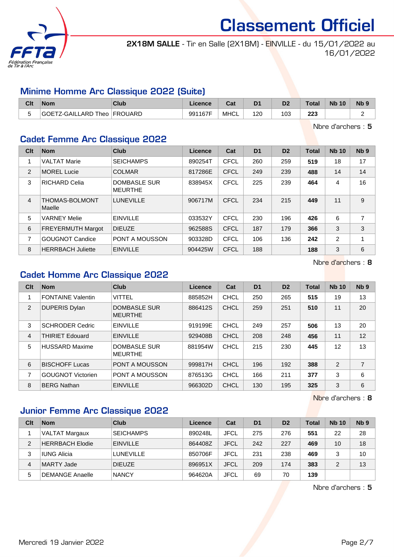

2X18M SALLE - Tir en Salle (2X18M) - EINVILLE - du 15/01/2022 au 16/01/2022

#### Minime Homme Arc Classique 2022 (Suite)

| Clt | <b>Nom</b>          | Club           | Licence | $R_{\rm eff}$<br>⊌a⊧ | D <sub>1</sub> | D <sub>2</sub> | Total     | <b>Nb 10</b> | N <sub>b</sub> <sub>9</sub> |
|-----|---------------------|----------------|---------|----------------------|----------------|----------------|-----------|--------------|-----------------------------|
| -   | GOETZ-GAILLARD Theo | <b>FROUARD</b> | 991167F | MHCL                 | 120            | 103            | 223<br>__ |              | -                           |

Nbre d'archers : 5

## Cadet Femme Arc Classique 2022

| Clt            | <b>Nom</b>               | <b>Club</b>                           | Licence | Cat         | D <sub>1</sub> | D <sub>2</sub> | <b>Total</b> | <b>Nb 10</b>   | Nb <sub>9</sub> |
|----------------|--------------------------|---------------------------------------|---------|-------------|----------------|----------------|--------------|----------------|-----------------|
| 1              | <b>VALTAT Marie</b>      | <b>SEICHAMPS</b>                      | 890254T | CFCL        | 260            | 259            | 519          | 18             | 17              |
| 2              | <b>MOREL Lucie</b>       | <b>COLMAR</b>                         | 817286E | <b>CFCL</b> | 249            | 239            | 488          | 14             | 14              |
| 3              | <b>RICHARD Celia</b>     | <b>DOMBASLE SUR</b><br><b>MEURTHE</b> | 838945X | <b>CFCL</b> | 225            | 239            | 464          | 4              | 16              |
| $\overline{4}$ | THOMAS-BOLMONT<br>Maelle | <b>LUNEVILLE</b>                      | 906717M | CFCL        | 234            | 215            | 449          | 11             | 9               |
| 5              | <b>VARNEY Melie</b>      | <b>EINVILLE</b>                       | 033532Y | <b>CFCL</b> | 230            | 196            | 426          | 6              | 7               |
| 6              | <b>FREYERMUTH Margot</b> | <b>DIEUZE</b>                         | 962588S | <b>CFCL</b> | 187            | 179            | 366          | 3              | 3               |
| 7              | <b>GOUGNOT Candice</b>   | PONT A MOUSSON                        | 903328D | <b>CFCL</b> | 106            | 136            | 242          | $\overline{2}$ | 4               |
| 8              | <b>HERRBACH Juliette</b> | <b>EINVILLE</b>                       | 904425W | <b>CFCL</b> | 188            |                | 188          | 3              | 6               |

Nbre d'archers : 8

## Cadet Homme Arc Classique 2022

| Clt | <b>Nom</b>               | Club                           | Licence | Cat         | D <sub>1</sub> | D <sub>2</sub> | <b>Total</b> | <b>Nb 10</b> | Nb <sub>9</sub> |
|-----|--------------------------|--------------------------------|---------|-------------|----------------|----------------|--------------|--------------|-----------------|
|     | <b>FONTAINE Valentin</b> | <b>VITTEL</b>                  | 885852H | <b>CHCL</b> | 250            | 265            | 515          | 19           | 13              |
| 2   | <b>DUPERIS Dylan</b>     | DOMBASLE SUR<br><b>MEURTHE</b> | 886412S | <b>CHCL</b> | 259            | 251            | 510          | 11           | 20              |
| 3   | <b>SCHRODER Cedric</b>   | <b>EINVILLE</b>                | 919199E | <b>CHCL</b> | 249            | 257            | 506          | 13           | 20              |
| 4   | <b>THIRIET Edouard</b>   | <b>EINVILLE</b>                | 929408B | <b>CHCL</b> | 208            | 248            | 456          | 11           | 12              |
| 5   | <b>HUSSARD Maxime</b>    | DOMBASLE SUR<br><b>MEURTHE</b> | 881954W | CHCL        | 215            | 230            | 445          | 12           | 13              |
| 6   | <b>BISCHOFF Lucas</b>    | <b>PONT A MOUSSON</b>          | 999817H | CHCL        | 196            | 192            | 388          | 2            | 7               |
| 7   | <b>GOUGNOT Victorien</b> | <b>PONT A MOUSSON</b>          | 876513G | <b>CHCL</b> | 166            | 211            | 377          | 3            | 6               |
| 8   | <b>BERG Nathan</b>       | <b>EINVILLE</b>                | 966302D | <b>CHCL</b> | 130            | 195            | 325          | 3            | 6               |

Nbre d'archers : 8

#### Junior Femme Arc Classique 2022

| Clt | <b>Nom</b>             | Club             | Licence | Cat         | D <sub>1</sub> | D <sub>2</sub> | Total | <b>Nb 10</b> | N <sub>b</sub> <sub>9</sub> |
|-----|------------------------|------------------|---------|-------------|----------------|----------------|-------|--------------|-----------------------------|
|     | VALTAT Margaux         | <b>SEICHAMPS</b> | 890248L | <b>JFCL</b> | 275            | 276            | 551   | 22           | 28                          |
| 2   | <b>HERRBACH Elodie</b> | <b>EINVILLE</b>  | 864408Z | <b>JFCL</b> | 242            | 227            | 469   | 10           | 18                          |
| 3   | IUNG Alicia            | <b>LUNEVILLE</b> | 850706F | <b>JFCL</b> | 231            | 238            | 469   |              | 10                          |
| 4   | MARTY Jade             | <b>DIEUZE</b>    | 896951X | <b>JFCL</b> | 209            | 174            | 383   | 2            | 13                          |
| 5   | DEMANGE Anaelle        | <b>NANCY</b>     | 964620A | JFCL        | 69             | 70             | 139   |              |                             |

Nbre d'archers : 5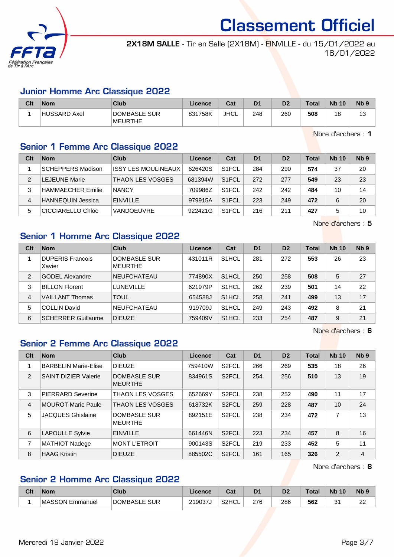

2X18M SALLE - Tir en Salle (2X18M) - EINVILLE - du 15/01/2022 au 16/01/2022

#### Junior Homme Arc Classique 2022

| Clt | <b>Nom</b>          | Club                           | Licence | $R_{\rm eff}$<br>⊍م | D <sub>1</sub> | D <sub>2</sub> | <b>Total</b> | <b>Nb 10</b> | <b>N<sub>b</sub></b> |
|-----|---------------------|--------------------------------|---------|---------------------|----------------|----------------|--------------|--------------|----------------------|
|     | <b>HUSSARD Axel</b> | DOMBASLE SUR<br><b>MEURTHE</b> | 831758K | <b>JHCL</b>         | 248            | 260            | 508          | 18           | ں                    |

Nbre d'archers : 1

#### Senior 1 Femme Arc Classique 2022

| Clt | <b>Nom</b>               | Club                       | Licence | Cat                | D <sub>1</sub> | D <sub>2</sub> | <b>Total</b> | <b>Nb 10</b> | Nb <sub>9</sub> |
|-----|--------------------------|----------------------------|---------|--------------------|----------------|----------------|--------------|--------------|-----------------|
|     | <b>SCHEPPERS Madison</b> | <b>ISSY LES MOULINEAUX</b> | 626420S | S <sub>1</sub> FCL | 284            | 290            | 574          | 37           | 20              |
| 2   | LEJEUNE Marie            | <b>THAON LES VOSGES</b>    | 681394W | S <sub>1</sub> FCL | 272            | 277            | 549          | 23           | 23              |
| 3   | <b>HAMMAECHER Emilie</b> | <b>NANCY</b>               | 709986Z | S <sub>1</sub> FCL | 242            | 242            | 484          | 10           | 14              |
|     | <b>HANNEQUIN Jessica</b> | <b>EINVILLE</b>            | 979915A | S <sub>1</sub> FCL | 223            | 249            | 472          | 6            | 20              |
| 5   | CICCIARELLO Chloe        | <b>VANDOEUVRE</b>          | 922421G | S <sub>1</sub> FCL | 216            | 211            | 427          | 5            | 10              |

Nbre d'archers : 5

#### Senior 1 Homme Arc Classique 2022

| Clt           | <b>Nom</b>                        | Club                           | Licence | Cat                | D <sub>1</sub> | D <sub>2</sub> | <b>Total</b> | <b>Nb 10</b> | Nb <sub>9</sub> |
|---------------|-----------------------------------|--------------------------------|---------|--------------------|----------------|----------------|--------------|--------------|-----------------|
|               | <b>DUPERIS Francois</b><br>Xavier | DOMBASLE SUR<br><b>MEURTHE</b> | 431011R | S <sub>1</sub> HCL | 281            | 272            | 553          | 26           | 23              |
| $\mathcal{P}$ | <b>GODEL Alexandre</b>            | <b>NEUFCHATEAU</b>             | 774890X | S <sub>1</sub> HCL | 250            | 258            | 508          | 5            | 27              |
| 3             | <b>BILLON Florent</b>             | <b>LUNEVILLE</b>               | 621979P | S <sub>1</sub> HCL | 262            | 239            | 501          | 14           | 22              |
| 4             | <b>VAILLANT Thomas</b>            | <b>TOUL</b>                    | 654588J | S <sub>1</sub> HCL | 258            | 241            | 499          | 13           | 17              |
| 5             | <b>COLLIN David</b>               | <b>NEUFCHATEAU</b>             | 919709J | S <sub>1</sub> HCL | 249            | 243            | 492          | 8            | 21              |
| 6             | <b>SCHERRER Guillaume</b>         | <b>DIEUZE</b>                  | 759409V | S <sub>1</sub> HCL | 233            | 254            | 487          | 9            | 21              |

Nbre d'archers : 6

## Senior 2 Femme Arc Classique 2022

| Clt            | <b>Nom</b>                  | Club                                  | Licence | Cat                | D <sub>1</sub> | D <sub>2</sub> | <b>Total</b> | <b>Nb 10</b> | Nb <sub>9</sub> |
|----------------|-----------------------------|---------------------------------------|---------|--------------------|----------------|----------------|--------------|--------------|-----------------|
| 1              | <b>BARBELIN Marie-Elise</b> | <b>DIEUZE</b>                         | 759410W | S <sub>2</sub> FCL | 266            | 269            | 535          | 18           | 26              |
| 2              | <b>SAINT DIZIER Valerie</b> | <b>DOMBASLE SUR</b><br><b>MEURTHE</b> | 834961S | S <sub>2</sub> FCL | 254            | 256            | 510          | 13           | 19              |
| 3              | <b>PIERRARD Severine</b>    | <b>THAON LES VOSGES</b>               | 652669Y | S <sub>2</sub> FCL | 238            | 252            | 490          | 11           | 17              |
| $\overline{4}$ | <b>MOUROT Marie Paule</b>   | <b>THAON LES VOSGES</b>               | 618732K | S <sub>2</sub> FCL | 259            | 228            | 487          | 10           | 24              |
| 5              | <b>JACQUES Ghislaine</b>    | <b>DOMBASLE SUR</b><br><b>MEURTHE</b> | 892151E | S <sub>2</sub> FCL | 238            | 234            | 472          | 7            | 13              |
| 6              | <b>LAPOULLE Sylvie</b>      | <b>EINVILLE</b>                       | 661446N | S <sub>2</sub> FCL | 223            | 234            | 457          | 8            | 16              |
| 7              | <b>MATHIOT Nadege</b>       | <b>MONT L'ETROIT</b>                  | 900143S | S <sub>2</sub> FCL | 219            | 233            | 452          | 5            | 11              |
| 8              | <b>HAAG Kristin</b>         | <b>DIEUZE</b>                         | 885502C | S <sub>2</sub> FCL | 161            | 165            | 326          | 2            | 4               |

Nbre d'archers : 8

## Senior 2 Homme Arc Classique 2022

| Cit | <b>Nom</b>      | <b>Club</b>         | <b>Licence</b> | <b>That</b><br>⊍⊿  | D1  | D2  | $\mathsf{T}$ otal | <b>Nb</b><br>10 | Nb 9     |
|-----|-----------------|---------------------|----------------|--------------------|-----|-----|-------------------|-----------------|----------|
|     | MASSON Emmanuel | <b>DOMBASLE SUR</b> | 219037J        | S <sub>2</sub> HCL | 276 | 286 | 562               | ر ر<br>ັ        | nn<br>∠∠ |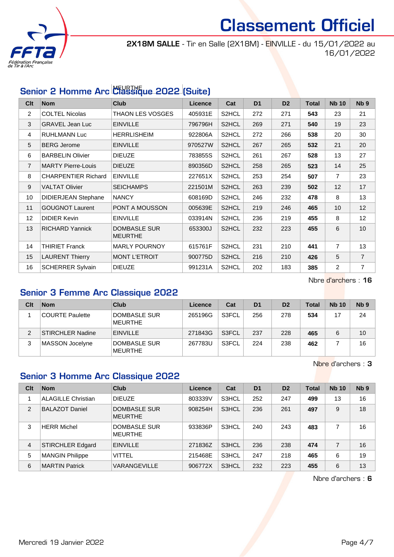

2X18M SALLE - Tir en Salle (2X18M) - EINVILLE - du 15/01/2022 au 16/01/2022

## Senior 2 Homme Arc Classique 2022 (Suite)

| Clt            | <b>Nom</b>                 | <b>Club</b>                           | <b>Licence</b> | Cat                | D <sub>1</sub> | D <sub>2</sub> | <b>Total</b> | <b>Nb 10</b>   | N <sub>b</sub> <sub>9</sub> |
|----------------|----------------------------|---------------------------------------|----------------|--------------------|----------------|----------------|--------------|----------------|-----------------------------|
| 2              | <b>COLTEL Nicolas</b>      | THAON LES VOSGES                      | 405931E        | S <sub>2</sub> HCL | 272            | 271            | 543          | 23             | 21                          |
| 3              | <b>GRAVEL Jean Luc</b>     | <b>EINVILLE</b>                       | 796796H        | S2HCL              | 269            | 271            | 540          | 19             | 23                          |
| 4              | <b>RUHLMANN Luc</b>        | <b>HERRLISHEIM</b>                    | 922806A        | S2HCL              | 272            | 266            | 538          | 20             | 30                          |
| 5              | <b>BERG Jerome</b>         | <b>EINVILLE</b>                       | 970527W        | S2HCL              | 267            | 265            | 532          | 21             | 20                          |
| 6              | <b>BARBELIN Olivier</b>    | <b>DIEUZE</b>                         | 783855S        | S <sub>2</sub> HCL | 261            | 267            | 528          | 13             | 27                          |
| $\overline{7}$ | <b>MARTY Pierre-Louis</b>  | <b>DIEUZE</b>                         | 890356D        | S2HCL              | 258            | 265            | 523          | 14             | 25                          |
| 8              | <b>CHARPENTIER Richard</b> | <b>EINVILLE</b>                       | 227651X        | S2HCL              | 253            | 254            | 507          | $\overline{7}$ | 23                          |
| 9              | <b>VALTAT Olivier</b>      | <b>SEICHAMPS</b>                      | 221501M        | S2HCL              | 263            | 239            | 502          | 12             | 17                          |
| 10             | <b>DIDIERJEAN Stephane</b> | <b>NANCY</b>                          | 608169D        | S2HCL              | 246            | 232            | 478          | 8              | 13                          |
| 11             | <b>GOUGNOT Laurent</b>     | PONT A MOUSSON                        | 005639E        | S2HCL              | 219            | 246            | 465          | 10             | 12                          |
| 12             | <b>DIDIER Kevin</b>        | <b>EINVILLE</b>                       | 033914N        | S2HCL              | 236            | 219            | 455          | 8              | 12                          |
| 13             | <b>RICHARD Yannick</b>     | <b>DOMBASLE SUR</b><br><b>MEURTHE</b> | 653300J        | S2HCL              | 232            | 223            | 455          | 6              | 10                          |
| 14             | <b>THIRIET Franck</b>      | <b>MARLY POURNOY</b>                  | 615761F        | S2HCL              | 231            | 210            | 441          | $\overline{7}$ | 13                          |
| 15             | <b>LAURENT Thierry</b>     | <b>MONT L'ETROIT</b>                  | 900775D        | S <sub>2</sub> HCL | 216            | 210            | 426          | 5              | $\overline{7}$              |
| 16             | <b>SCHERRER Sylvain</b>    | <b>DIEUZE</b>                         | 991231A        | S <sub>2</sub> HCL | 202            | 183            | 385          | 2              | $\overline{7}$              |

Nbre d'archers : 16

## Senior 3 Femme Arc Classique 2022

| Clt | <b>Nom</b>             | Club                           | Licence | Cat   | D <sub>1</sub> | D <sub>2</sub> | Total | <b>Nb 10</b> | N <sub>b</sub> <sub>9</sub> |
|-----|------------------------|--------------------------------|---------|-------|----------------|----------------|-------|--------------|-----------------------------|
|     | <b>COURTE Paulette</b> | DOMBASLE SUR<br><b>MEURTHE</b> | 265196G | S3FCL | 256            | 278            | 534   |              | 24                          |
|     | STIRCHLER Nadine       | <b>EINVILLE</b>                | 271843G | S3FCL | 237            | 228            | 465   |              | 10                          |
| 3   | MASSON Jocelyne        | DOMBASLE SUR<br>MEURTHE        | 267783U | S3FCL | 224            | 238            | 462   |              | 16                          |

Nbre d'archers : 3

#### Senior 3 Homme Arc Classique 2022

| Clt | <b>Nom</b>                | Club                                  | Licence | Cat   | D <sub>1</sub> | D <sub>2</sub> | <b>Total</b> | <b>Nb 10</b> | Nb <sub>9</sub> |
|-----|---------------------------|---------------------------------------|---------|-------|----------------|----------------|--------------|--------------|-----------------|
|     | <b>ALAGILLE Christian</b> | <b>DIEUZE</b>                         | 803339V | S3HCL | 252            | 247            | 499          | 13           | 16              |
| 2   | <b>BALAZOT Daniel</b>     | DOMBASLE SUR<br><b>MEURTHE</b>        | 908254H | S3HCL | 236            | 261            | 497          | 9            | 18              |
| 3   | <b>HERR Michel</b>        | <b>DOMBASLE SUR</b><br><b>MEURTHE</b> | 933836P | S3HCL | 240            | 243            | 483          |              | 16              |
| 4   | <b>STIRCHLER Edgard</b>   | <b>EINVILLE</b>                       | 271836Z | S3HCL | 236            | 238            | 474          | 7            | 16              |
| 5   | <b>MANGIN Philippe</b>    | <b>VITTEL</b>                         | 215468E | S3HCL | 247            | 218            | 465          | 6            | 19              |
| 6   | <b>MARTIN Patrick</b>     | VARANGEVILLE                          | 906772X | S3HCL | 232            | 223            | 455          | 6            | 13              |

Nbre d'archers : 6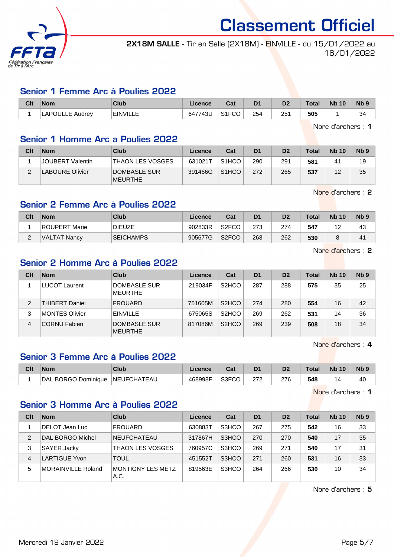

2X18M SALLE - Tir en Salle (2X18M) - EINVILLE - du 15/01/2022 au 16/01/2022

#### Senior 1 Femme Arc à Poulies 2022

| Clt | Nom             | Club            | ∟icence | ∩~∙<br>⊍aι         | D <sub>1</sub> | D2  | <b>Total</b> | <b>Nb 10</b> | N <sub>b</sub> 9 |
|-----|-----------------|-----------------|---------|--------------------|----------------|-----|--------------|--------------|------------------|
|     | ∟APOULLE Audrey | <b>EINVILLE</b> | 647743U | S <sub>1</sub> FCO | 254            | 25' | 505          |              | 34               |

Nbre d'archers : 1

#### Senior 1 Homme Arc a Poulies 2022

| Clt | <b>Nom</b>             | Club                           | Licence | Cat                | D <sub>1</sub> | D <sub>2</sub> | <b>Total</b> | <b>Nb 10</b> | N <sub>b</sub> 9 |
|-----|------------------------|--------------------------------|---------|--------------------|----------------|----------------|--------------|--------------|------------------|
|     | JOUBERT Valentin       | <b>THAON LES VOSGES</b>        | 631021T | S <sub>1</sub> HCO | 290            | 291            | 581          | 41           | 19               |
| ◠   | <b>LABOURE Olivier</b> | DOMBASLE SUR<br><b>MEURTHE</b> | 391466G | S <sub>1</sub> HCO | 272            | 265            | 537          | 12           | 35               |

Nbre d'archers : 2

#### Senior 2 Femme Arc à Poulies 2022

| Clt    | <b>Nom</b>          | Club             | Licence | Cat                | D1  | D2  | <b>Total</b> | <b>Nb 10</b> | N <sub>b</sub> <sub>9</sub> |
|--------|---------------------|------------------|---------|--------------------|-----|-----|--------------|--------------|-----------------------------|
|        | ROUPERT Marie       | <b>DIEUZE</b>    | 902833R | S <sub>2</sub> FCO | 273 | 274 | 547          | -            | 43                          |
| $\sim$ | <b>VALTAT Nancy</b> | <b>SEICHAMPS</b> | 905677G | S <sub>2</sub> FCO | 268 | 262 | 530          |              | 41                          |

Nbre d'archers : 2

#### Senior 2 Homme Arc à Poulies 2022

| Clt            | <b>Nom</b>            | Club                           | Licence | Cat                            | D <sub>1</sub> | D <sub>2</sub> | <b>Total</b> | <b>Nb 10</b> | N <sub>b</sub> <sub>9</sub> |
|----------------|-----------------------|--------------------------------|---------|--------------------------------|----------------|----------------|--------------|--------------|-----------------------------|
|                | <b>LUCOT Laurent</b>  | DOMBASLE SUR<br><b>MEURTHE</b> | 219034F | S <sub>2</sub> HCO             | 287            | 288            | 575          | 35           | 25                          |
| $\overline{2}$ | <b>THIBERT Daniel</b> | <b>FROUARD</b>                 | 751605M | S <sub>2</sub> HCO             | 274            | 280            | 554          | 16           | 42                          |
| 3              | MONTES Olivier        | <b>EINVILLE</b>                | 675065S | S <sub>2</sub> HCO             | 269            | 262            | 531          | 14           | 36                          |
| $\overline{4}$ | <b>CORNU Fabien</b>   | DOMBASLE SUR<br><b>MEURTHE</b> | 817086M | S <sub>2</sub> H <sub>CO</sub> | 269            | 239            | 508          | 18           | 34                          |

Nbre d'archers : 4

#### Senior 3 Femme Arc à Poulies 2022

| Clt | <b>Nom</b>               | Club               | <b>Licence</b> | ่ ^^+<br>val |     |     | Total | <b>N<sub>b</sub></b><br>10 | N <sub>b</sub> <sub>9</sub> |
|-----|--------------------------|--------------------|----------------|--------------|-----|-----|-------|----------------------------|-----------------------------|
|     | . BORGO Dominiaue<br>DAL | <b>NEUFCHATEAU</b> | 468998F        | S3FCO        | 272 | 276 | 548   | ┚                          | 40                          |

Nbre d'archers : 1

#### Senior 3 Homme Arc à Poulies 2022

| Clt            | <b>Nom</b>                | Club                      | Licence | Cat   | D <sub>1</sub> | D <sub>2</sub> | <b>Total</b> | <b>Nb 10</b> | N <sub>b</sub> <sub>9</sub> |
|----------------|---------------------------|---------------------------|---------|-------|----------------|----------------|--------------|--------------|-----------------------------|
|                | DELOT Jean Luc            | <b>FROUARD</b>            | 630883T | S3HCO | 267            | 275            | 542          | 16           | 33                          |
| $\mathfrak{p}$ | DAL BORGO Michel          | <b>NEUFCHATEAU</b>        | 317867H | S3HCO | 270            | 270            | 540          | 17           | 35                          |
| 3              | <b>SAYER Jacky</b>        | <b>THAON LES VOSGES</b>   | 760957C | S3HCO | 269            | 271            | 540          | 17           | 31                          |
| 4              | <b>LARTIGUE Yvon</b>      | <b>TOUL</b>               | 451552T | S3HCO | 271            | 260            | 531          | 16           | 33                          |
| 5              | <b>MORAINVILLE Roland</b> | MONTIGNY LES METZ<br>A.C. | 819563E | S3HCO | 264            | 266            | 530          | 10           | 34                          |

Nbre d'archers : 5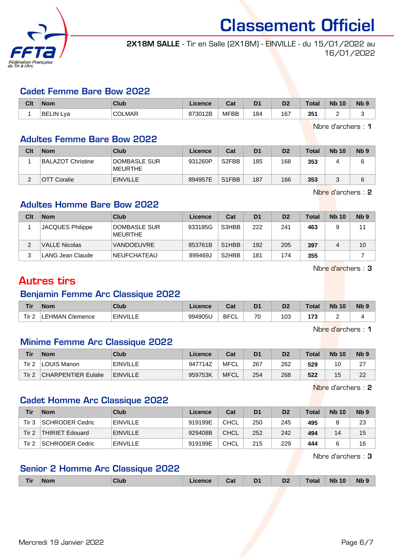

2X18M SALLE - Tir en Salle (2X18M) - EINVILLE - du 15/01/2022 au 16/01/2022

#### Cadet Femme Bare Bow 2022

| Clt | <b>Nom</b>       | Club   | Licence | Cat         | D <sub>1</sub> | D <sub>2</sub> | <b>Total</b> | <b>Nb</b><br>10 | N <sub>b</sub> <sub>9</sub> |
|-----|------------------|--------|---------|-------------|----------------|----------------|--------------|-----------------|-----------------------------|
|     | <b>BELIN Lya</b> | COLMAR | 873012B | <b>MFBB</b> | 184            | 167            | 351          |                 |                             |

Nbre d'archers : 1

#### Adultes Femme Bare Bow 2022

| Clt | <b>Nom</b>         | Club                           | Licence | Cat                | D <sub>1</sub> | D <sub>2</sub> | <b>Total</b> | <b>Nb 10</b> | N <sub>b</sub> <sub>9</sub> |
|-----|--------------------|--------------------------------|---------|--------------------|----------------|----------------|--------------|--------------|-----------------------------|
|     | BALAZOT Christine  | DOMBASLE SUR<br><b>MEURTHE</b> | 931260P | S <sub>2</sub> FBB | 185            | 168            | 353          |              | 6                           |
|     | <b>OTT Coralie</b> | <b>EINVILLE</b>                | 894957E | S <sub>1</sub> FBB | 187            | 166            | 353          |              | 6                           |

Nbre d'archers : 2

### Adultes Homme Bare Bow 2022

| Clt | <b>Nom</b>           | Club                    | Licence | Cat                            | D <sub>1</sub> | D <sub>2</sub> | <b>Total</b> | <b>Nb 10</b> | Nb <sub>9</sub> |
|-----|----------------------|-------------------------|---------|--------------------------------|----------------|----------------|--------------|--------------|-----------------|
|     | JACQUES Philippe     | DOMBASLE SUR<br>MEURTHE | 933185G | S3HBB                          | 222            | 241            | 463          |              | 11              |
|     | <b>VALLE Nicolas</b> | VANDOEUVRE              | 853761B | S <sub>1</sub> H <sub>BB</sub> | 192            | 205            | 397          |              | 10              |
| 3   | LANG Jean Claude     | <b>NEUFCHATEAU</b>      | 899469J | S <sub>2</sub> H <sub>BB</sub> | 181            | 174            | 355          |              |                 |

Nbre d'archers : 3

## Autres tirs

#### Benjamin Femme Arc Classique 2022

| <b>Tir</b> | <b>Nom</b>        | Club            | ∟icence | <b>Date</b><br>ual | D <sub>1</sub> | D0<br>ש | Total    | <b>N<sub>b</sub></b><br>10 | <b>N<sub>b</sub></b> |
|------------|-------------------|-----------------|---------|--------------------|----------------|---------|----------|----------------------------|----------------------|
| Tir.       | Clemence<br>EHMAN | <b>EINVILLE</b> | 994905U | <b>BFC</b><br>◡∟   | 70             | 103     | 177<br>. |                            |                      |

Nbre d'archers : 1

## Minime Femme Arc Classique 2022

| <b>Tir</b>       | <b>Nom</b>                 | <b>Club</b>     | Licence | Cat         | D1   | D <sub>2</sub> | <b>Total</b> | <b>Nb 10</b> | N <sub>b</sub> <sub>9</sub> |
|------------------|----------------------------|-----------------|---------|-------------|------|----------------|--------------|--------------|-----------------------------|
| Tir 2            | ⊥LOUIS Manon               | <b>EINVILLE</b> | 947714Z | MFCL        | -267 | 262            | 529          | 10           | っっ<br>$\epsilon$            |
| Tir <sub>2</sub> | <b>CHARPENTIER Eulalie</b> | <b>EINVILLE</b> | 959753K | <b>MFCL</b> | 254  | 268            | 522          | 15           | 22                          |

Nbre d'archers : 2

#### Cadet Homme Arc Classique 2022

| Tir   | <b>Nom</b>             | Club            | Licence | Cat         | D <sub>1</sub> | D <sub>2</sub> | Total | <b>Nb 10</b> | N <sub>b</sub> 9 |
|-------|------------------------|-----------------|---------|-------------|----------------|----------------|-------|--------------|------------------|
| Tir 3 | SCHRODER Cedric        | <b>EINVILLE</b> | 919199E | CHCL        | 250            | 245            | 495   |              | 23               |
| Tir 2 | <b>THIRIET Edouard</b> | <b>EINVILLE</b> | 929408B | CHCL        | 252            | 242            | 494   | 14           | 15               |
| Tir 2 | SCHRODER Cedric        | <b>EINVILLE</b> | 919199E | <b>CHCL</b> | 215            | 229            | 444   |              | 16               |

Nbre d'archers : 3

## Senior 2 Homme Arc Classique 2022

|  | Tir | <b>Nom</b><br>------ | <b>Club</b> | <i>icence</i> | Cat | ונ<br>- - | D <sub>2</sub> | `otal<br>$- - - - -$ | <b>Nb</b><br>10<br>___ | <b>Nb</b> |
|--|-----|----------------------|-------------|---------------|-----|-----------|----------------|----------------------|------------------------|-----------|
|--|-----|----------------------|-------------|---------------|-----|-----------|----------------|----------------------|------------------------|-----------|